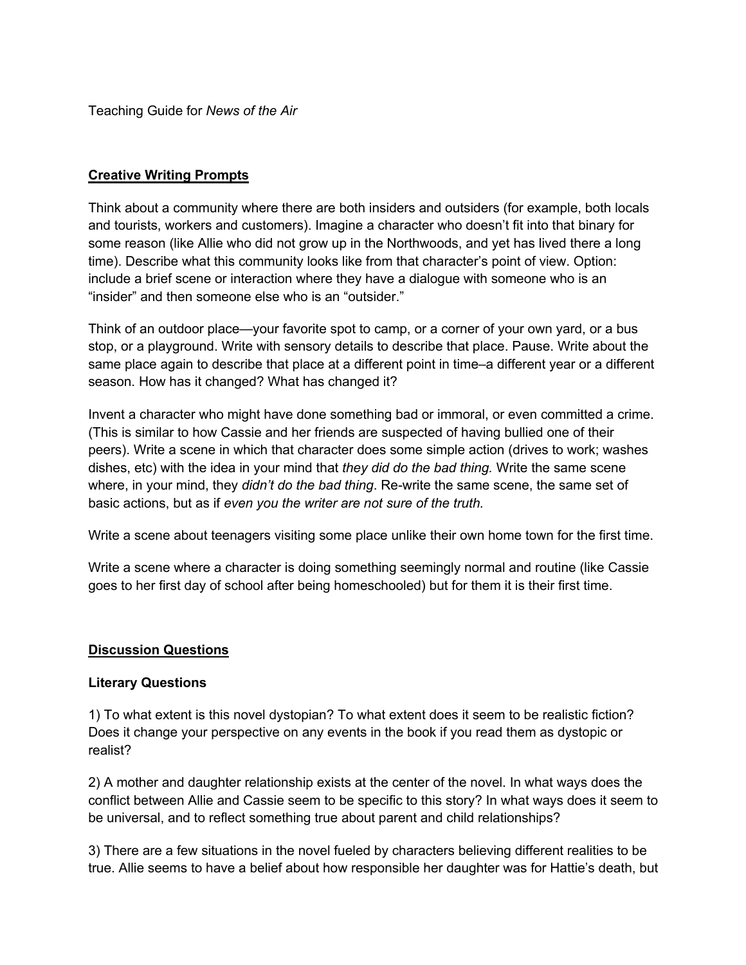Teaching Guide for *News of the Air*

## **Creative Writing Prompts**

Think about a community where there are both insiders and outsiders (for example, both locals and tourists, workers and customers). Imagine a character who doesn't fit into that binary for some reason (like Allie who did not grow up in the Northwoods, and yet has lived there a long time). Describe what this community looks like from that character's point of view. Option: include a brief scene or interaction where they have a dialogue with someone who is an "insider" and then someone else who is an "outsider."

Think of an outdoor place—your favorite spot to camp, or a corner of your own yard, or a bus stop, or a playground. Write with sensory details to describe that place. Pause. Write about the same place again to describe that place at a different point in time–a different year or a different season. How has it changed? What has changed it?

Invent a character who might have done something bad or immoral, or even committed a crime. (This is similar to how Cassie and her friends are suspected of having bullied one of their peers). Write a scene in which that character does some simple action (drives to work; washes dishes, etc) with the idea in your mind that *they did do the bad thing.* Write the same scene where, in your mind, they *didn't do the bad thing*. Re-write the same scene, the same set of basic actions, but as if *even you the writer are not sure of the truth.*

Write a scene about teenagers visiting some place unlike their own home town for the first time.

Write a scene where a character is doing something seemingly normal and routine (like Cassie goes to her first day of school after being homeschooled) but for them it is their first time.

#### **Discussion Questions**

#### **Literary Questions**

1) To what extent is this novel dystopian? To what extent does it seem to be realistic fiction? Does it change your perspective on any events in the book if you read them as dystopic or realist?

2) A mother and daughter relationship exists at the center of the novel. In what ways does the conflict between Allie and Cassie seem to be specific to this story? In what ways does it seem to be universal, and to reflect something true about parent and child relationships?

3) There are a few situations in the novel fueled by characters believing different realities to be true. Allie seems to have a belief about how responsible her daughter was for Hattie's death, but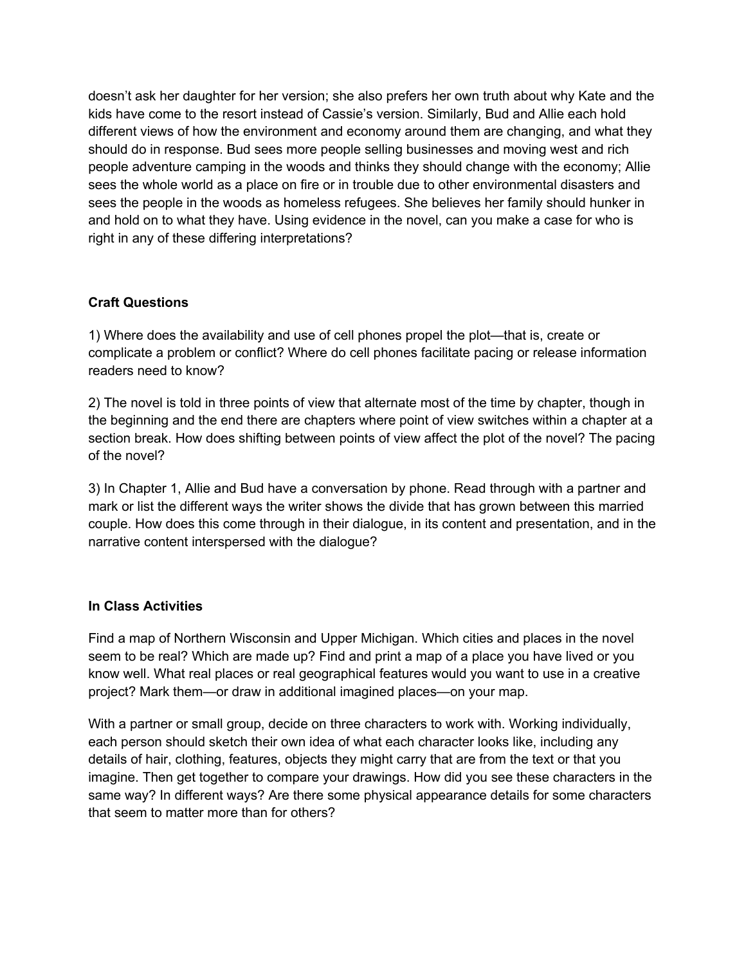doesn't ask her daughter for her version; she also prefers her own truth about why Kate and the kids have come to the resort instead of Cassie's version. Similarly, Bud and Allie each hold different views of how the environment and economy around them are changing, and what they should do in response. Bud sees more people selling businesses and moving west and rich people adventure camping in the woods and thinks they should change with the economy; Allie sees the whole world as a place on fire or in trouble due to other environmental disasters and sees the people in the woods as homeless refugees. She believes her family should hunker in and hold on to what they have. Using evidence in the novel, can you make a case for who is right in any of these differing interpretations?

## **Craft Questions**

1) Where does the availability and use of cell phones propel the plot—that is, create or complicate a problem or conflict? Where do cell phones facilitate pacing or release information readers need to know?

2) The novel is told in three points of view that alternate most of the time by chapter, though in the beginning and the end there are chapters where point of view switches within a chapter at a section break. How does shifting between points of view affect the plot of the novel? The pacing of the novel?

3) In Chapter 1, Allie and Bud have a conversation by phone. Read through with a partner and mark or list the different ways the writer shows the divide that has grown between this married couple. How does this come through in their dialogue, in its content and presentation, and in the narrative content interspersed with the dialogue?

# **In Class Activities**

Find a map of Northern Wisconsin and Upper Michigan. Which cities and places in the novel seem to be real? Which are made up? Find and print a map of a place you have lived or you know well. What real places or real geographical features would you want to use in a creative project? Mark them—or draw in additional imagined places—on your map.

With a partner or small group, decide on three characters to work with. Working individually, each person should sketch their own idea of what each character looks like, including any details of hair, clothing, features, objects they might carry that are from the text or that you imagine. Then get together to compare your drawings. How did you see these characters in the same way? In different ways? Are there some physical appearance details for some characters that seem to matter more than for others?